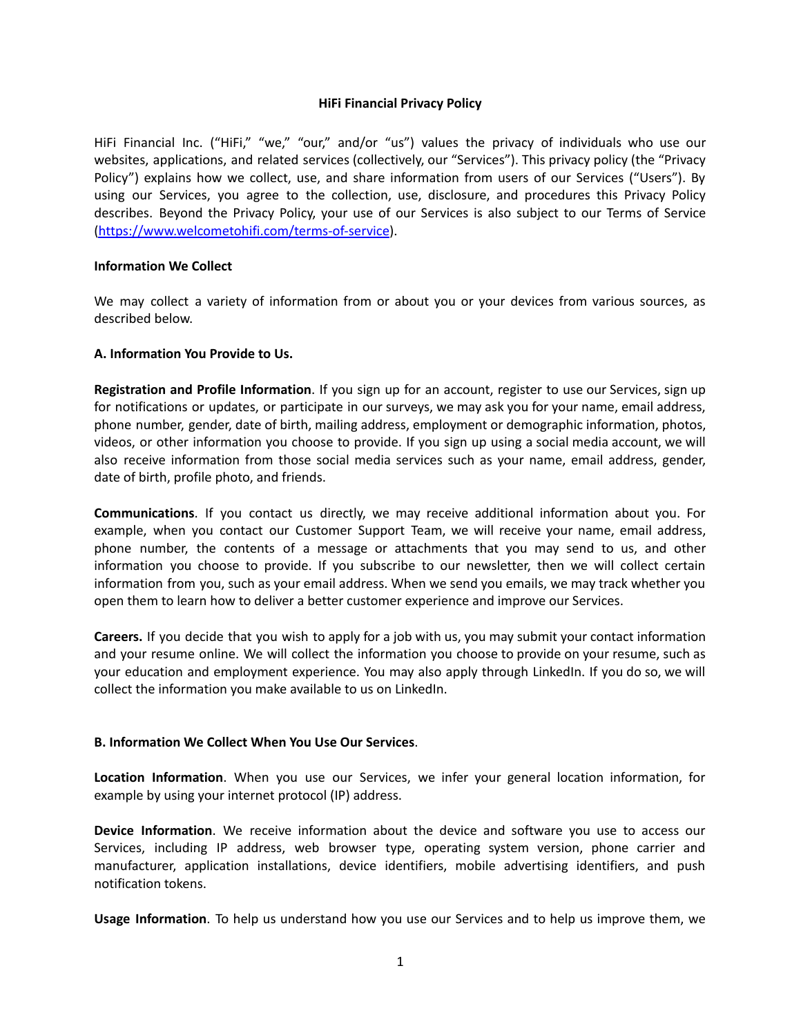### **HiFi Financial Privacy Policy**

HiFi Financial Inc. ("HiFi," "we," "our," and/or "us") values the privacy of individuals who use our websites, applications, and related services (collectively, our "Services"). This privacy policy (the "Privacy Policy") explains how we collect, use, and share information from users of our Services ("Users"). By using our Services, you agree to the collection, use, disclosure, and procedures this Privacy Policy describes. Beyond the Privacy Policy, your use of our Services is also subject to our Terms of Service [\(https://www.welcometohifi.com/terms-of-service\)](https://www.welcometohifi.com/terms-of-service).

## **Information We Collect**

We may collect a variety of information from or about you or your devices from various sources, as described below.

## **A. Information You Provide to Us.**

**Registration and Profile Information**. If you sign up for an account, register to use our Services, sign up for notifications or updates, or participate in our surveys, we may ask you for your name, email address, phone number, gender, date of birth, mailing address, employment or demographic information, photos, videos, or other information you choose to provide. If you sign up using a social media account, we will also receive information from those social media services such as your name, email address, gender, date of birth, profile photo, and friends.

**Communications**. If you contact us directly, we may receive additional information about you. For example, when you contact our Customer Support Team, we will receive your name, email address, phone number, the contents of a message or attachments that you may send to us, and other information you choose to provide. If you subscribe to our newsletter, then we will collect certain information from you, such as your email address. When we send you emails, we may track whether you open them to learn how to deliver a better customer experience and improve our Services.

**Careers.** If you decide that you wish to apply for a job with us, you may submit your contact information and your resume online. We will collect the information you choose to provide on your resume, such as your education and employment experience. You may also apply through LinkedIn. If you do so, we will collect the information you make available to us on LinkedIn.

#### **B. Information We Collect When You Use Our Services**.

**Location Information**. When you use our Services, we infer your general location information, for example by using your internet protocol (IP) address.

**Device Information**. We receive information about the device and software you use to access our Services, including IP address, web browser type, operating system version, phone carrier and manufacturer, application installations, device identifiers, mobile advertising identifiers, and push notification tokens.

**Usage Information**. To help us understand how you use our Services and to help us improve them, we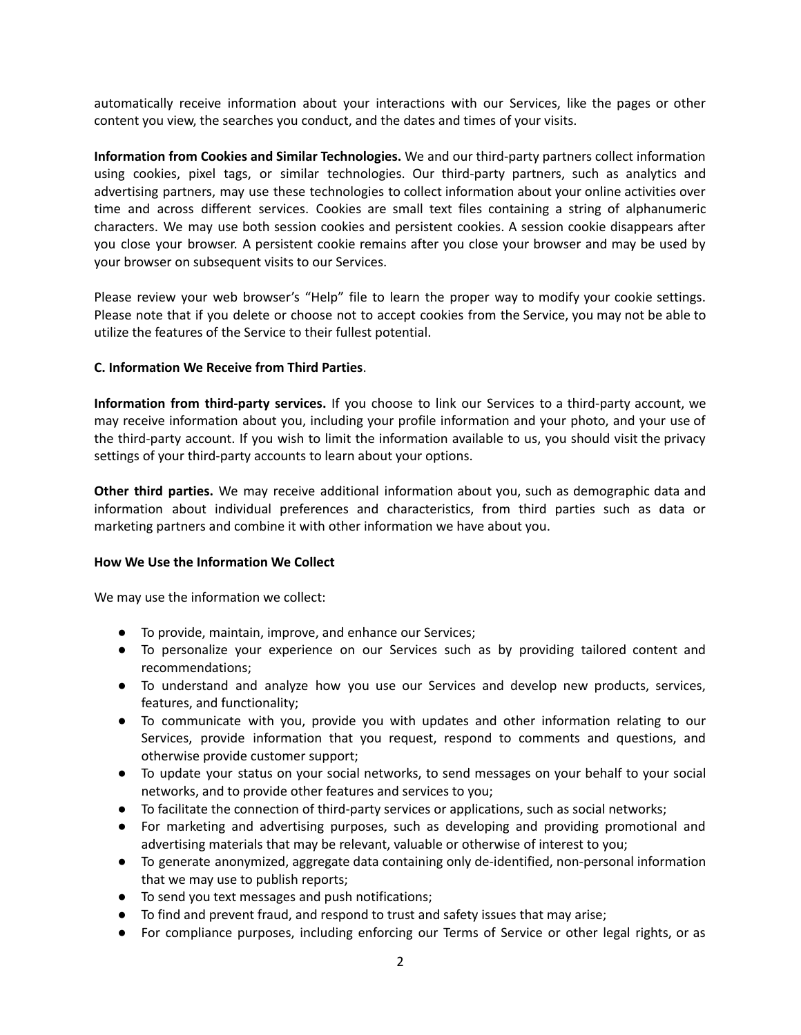automatically receive information about your interactions with our Services, like the pages or other content you view, the searches you conduct, and the dates and times of your visits.

**Information from Cookies and Similar Technologies.** We and our third-party partners collect information using cookies, pixel tags, or similar technologies. Our third-party partners, such as analytics and advertising partners, may use these technologies to collect information about your online activities over time and across different services. Cookies are small text files containing a string of alphanumeric characters. We may use both session cookies and persistent cookies. A session cookie disappears after you close your browser. A persistent cookie remains after you close your browser and may be used by your browser on subsequent visits to our Services.

Please review your web browser's "Help" file to learn the proper way to modify your cookie settings. Please note that if you delete or choose not to accept cookies from the Service, you may not be able to utilize the features of the Service to their fullest potential.

# **C. Information We Receive from Third Parties**.

**Information from third-party services.** If you choose to link our Services to a third-party account, we may receive information about you, including your profile information and your photo, and your use of the third-party account. If you wish to limit the information available to us, you should visit the privacy settings of your third-party accounts to learn about your options.

**Other third parties.** We may receive additional information about you, such as demographic data and information about individual preferences and characteristics, from third parties such as data or marketing partners and combine it with other information we have about you.

#### **How We Use the Information We Collect**

We may use the information we collect:

- To provide, maintain, improve, and enhance our Services;
- To personalize your experience on our Services such as by providing tailored content and recommendations;
- To understand and analyze how you use our Services and develop new products, services, features, and functionality;
- To communicate with you, provide you with updates and other information relating to our Services, provide information that you request, respond to comments and questions, and otherwise provide customer support;
- To update your status on your social networks, to send messages on your behalf to your social networks, and to provide other features and services to you;
- To facilitate the connection of third-party services or applications, such as social networks;
- For marketing and advertising purposes, such as developing and providing promotional and advertising materials that may be relevant, valuable or otherwise of interest to you;
- To generate anonymized, aggregate data containing only de-identified, non-personal information that we may use to publish reports;
- To send you text messages and push notifications;
- To find and prevent fraud, and respond to trust and safety issues that may arise;
- For compliance purposes, including enforcing our Terms of Service or other legal rights, or as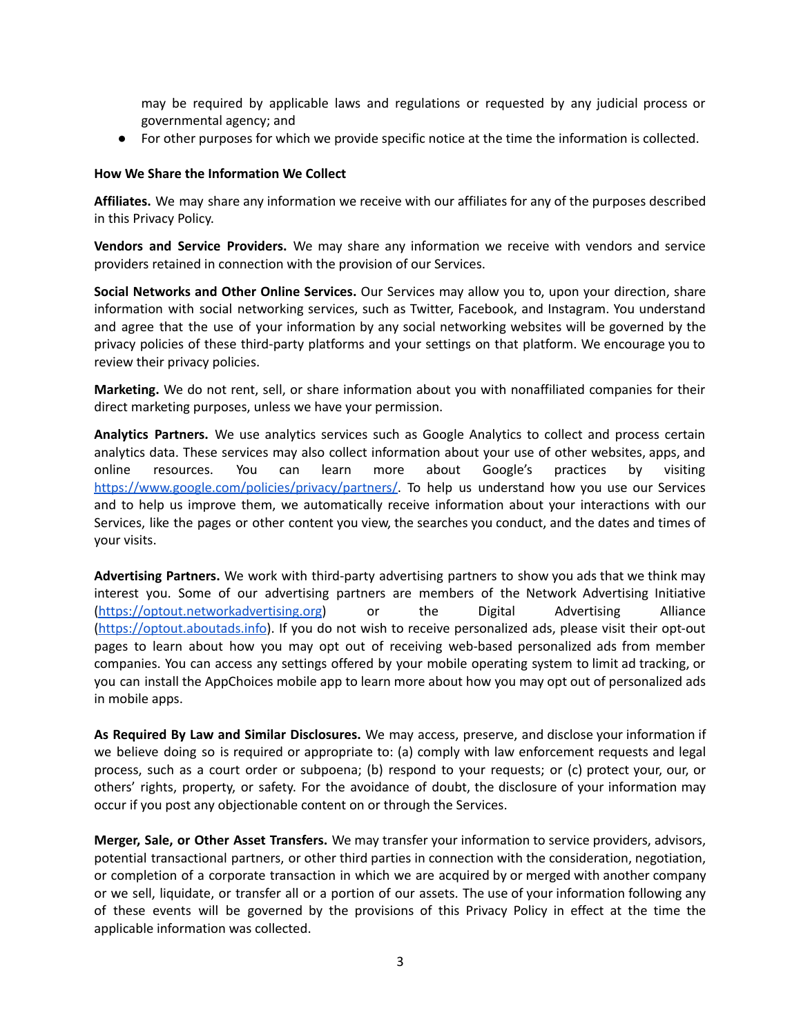may be required by applicable laws and regulations or requested by any judicial process or governmental agency; and

● For other purposes for which we provide specific notice at the time the information is collected.

#### **How We Share the Information We Collect**

**Affiliates.** We may share any information we receive with our affiliates for any of the purposes described in this Privacy Policy.

**Vendors and Service Providers.** We may share any information we receive with vendors and service providers retained in connection with the provision of our Services.

**Social Networks and Other Online Services.** Our Services may allow you to, upon your direction, share information with social networking services, such as Twitter, Facebook, and Instagram. You understand and agree that the use of your information by any social networking websites will be governed by the privacy policies of these third-party platforms and your settings on that platform. We encourage you to review their privacy policies.

**Marketing.** We do not rent, sell, or share information about you with nonaffiliated companies for their direct marketing purposes, unless we have your permission.

**Analytics Partners.** We use analytics services such as Google Analytics to collect and process certain analytics data. These services may also collect information about your use of other websites, apps, and online resources. You can learn more about Google's practices by visitin[g](https://www.google.com/policies/privacy/partners/) <https://www.google.com/policies/privacy/partners/>. To help us understand how you use our Services and to help us improve them, we automatically receive information about your interactions with our Services, like the pages or other content you view, the searches you conduct, and the dates and times of your visits.

**Advertising Partners.** We work with third-party advertising partners to show you ads that we think may interest you. Some of our advertising partners are members of the Network Advertising Initiative [\(https://optout.networkadvertising.org](https://optout.networkadvertising.org)) or the Digital Advertising Alliance [\(https://optout.aboutads.info](https://optout.aboutads.info)). If you do not wish to receive personalized ads, please visit their opt-out pages to learn about how you may opt out of receiving web-based personalized ads from member companies. You can access any settings offered by your mobile operating system to limit ad tracking, or you can install the AppChoices mobile app to learn more about how you may opt out of personalized ads in mobile apps.

**As Required By Law and Similar Disclosures.** We may access, preserve, and disclose your information if we believe doing so is required or appropriate to: (a) comply with law enforcement requests and legal process, such as a court order or subpoena; (b) respond to your requests; or (c) protect your, our, or others' rights, property, or safety. For the avoidance of doubt, the disclosure of your information may occur if you post any objectionable content on or through the Services.

**Merger, Sale, or Other Asset Transfers.** We may transfer your information to service providers, advisors, potential transactional partners, or other third parties in connection with the consideration, negotiation, or completion of a corporate transaction in which we are acquired by or merged with another company or we sell, liquidate, or transfer all or a portion of our assets. The use of your information following any of these events will be governed by the provisions of this Privacy Policy in effect at the time the applicable information was collected.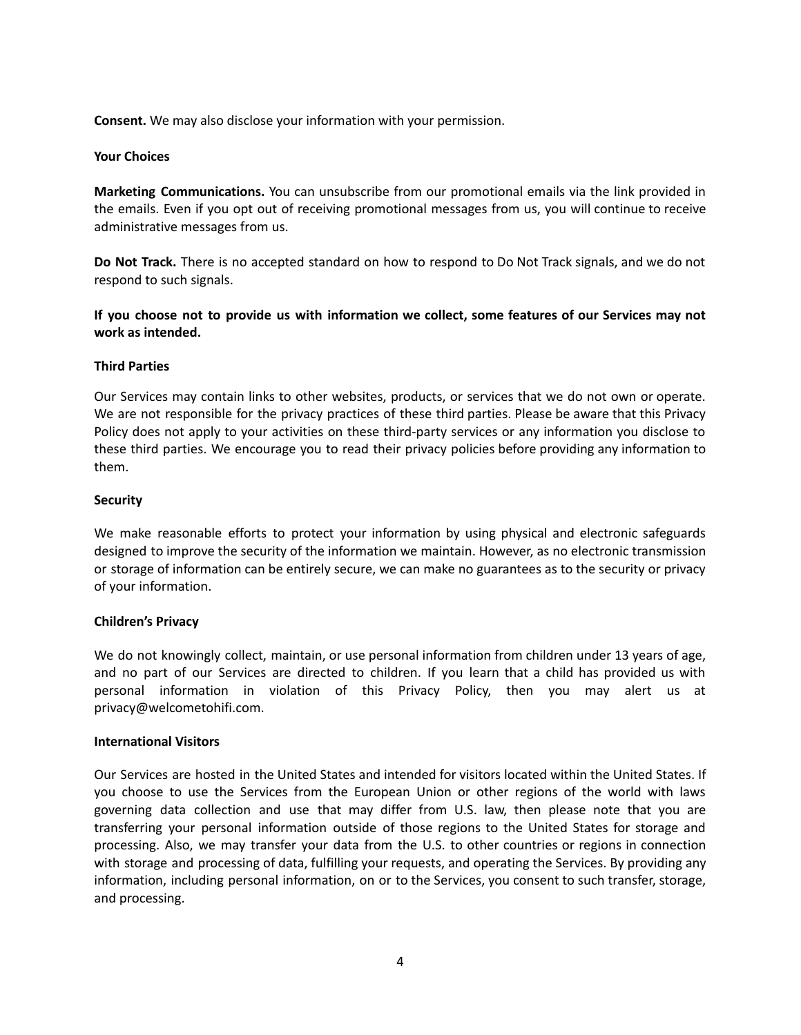**Consent.** We may also disclose your information with your permission.

#### **Your Choices**

**Marketing Communications.** You can unsubscribe from our promotional emails via the link provided in the emails. Even if you opt out of receiving promotional messages from us, you will continue to receive administrative messages from us.

**Do Not Track.** There is no accepted standard on how to respond to Do Not Track signals, and we do not respond to such signals.

**If you choose not to provide us with information we collect, some features of our Services may not work as intended.**

## **Third Parties**

Our Services may contain links to other websites, products, or services that we do not own or operate. We are not responsible for the privacy practices of these third parties. Please be aware that this Privacy Policy does not apply to your activities on these third-party services or any information you disclose to these third parties. We encourage you to read their privacy policies before providing any information to them.

## **Security**

We make reasonable efforts to protect your information by using physical and electronic safeguards designed to improve the security of the information we maintain. However, as no electronic transmission or storage of information can be entirely secure, we can make no guarantees as to the security or privacy of your information.

# **Children's Privacy**

We do not knowingly collect, maintain, or use personal information from children under 13 years of age, and no part of our Services are directed to children. If you learn that a child has provided us with personal information in violation of this Privacy Policy, then you may alert us at privacy@welcometohifi.com.

#### **International Visitors**

Our Services are hosted in the United States and intended for visitors located within the United States. If you choose to use the Services from the European Union or other regions of the world with laws governing data collection and use that may differ from U.S. law, then please note that you are transferring your personal information outside of those regions to the United States for storage and processing. Also, we may transfer your data from the U.S. to other countries or regions in connection with storage and processing of data, fulfilling your requests, and operating the Services. By providing any information, including personal information, on or to the Services, you consent to such transfer, storage, and processing.